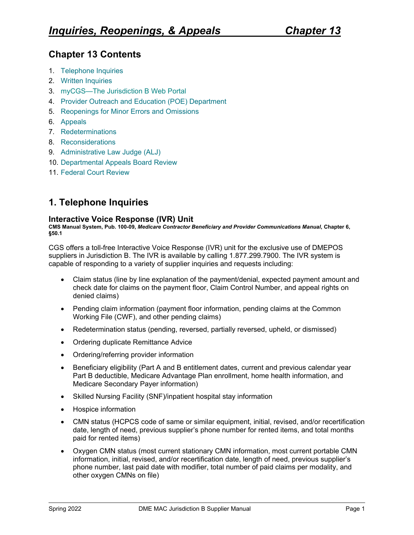# **Chapter 13 Contents**

- 1. [Telephone Inquiries](#page-0-0)
- 2. [Written Inquiries](#page-3-0)
- 3. [myCGS—The Jurisdiction B](#page-3-1) Web Portal
- 4. [Provider Outreach and Education \(POE\) Department](#page-4-0)
- 5. [Reopenings for Minor Errors and Omissions](#page-4-1)
- 6. [Appeals](#page-7-0)
- 7. [Redeterminations](#page-9-0)
- 8. [Reconsiderations](#page-14-0)
- 9. [Administrative Law Judge \(ALJ\)](#page-16-0)
- 10. [Departmental Appeals](#page-16-1) Board Review
- 11. [Federal Court Review](#page-16-2)

# <span id="page-0-0"></span>**1. Telephone Inquiries**

#### **Interactive Voice Response (IVR) Unit**

**CMS Manual System, Pub. 100-09,** *Medicare Contractor Beneficiary and Provider Communications Manual***, Chapter 6, §50.1**

CGS offers a toll-free Interactive Voice Response (IVR) unit for the exclusive use of DMEPOS suppliers in Jurisdiction B. The IVR is available by calling 1.877.299.7900. The IVR system is capable of responding to a variety of supplier inquiries and requests including:

- Claim status (line by line explanation of the payment/denial, expected payment amount and check date for claims on the payment floor, Claim Control Number, and appeal rights on denied claims)
- Pending claim information (payment floor information, pending claims at the Common Working File (CWF), and other pending claims)
- Redetermination status (pending, reversed, partially reversed, upheld, or dismissed)
- Ordering duplicate Remittance Advice
- Ordering/referring provider information
- Beneficiary eligibility (Part A and B entitlement dates, current and previous calendar year Part B deductible, Medicare Advantage Plan enrollment, home health information, and Medicare Secondary Payer information)
- Skilled Nursing Facility (SNF)/inpatient hospital stay information
- Hospice information
- CMN status (HCPCS code of same or similar equipment, initial, revised, and/or recertification date, length of need, previous supplier's phone number for rented items, and total months paid for rented items)
- Oxygen CMN status (most current stationary CMN information, most current portable CMN information, initial, revised, and/or recertification date, length of need, previous supplier's phone number, last paid date with modifier, total number of paid claims per modality, and other oxygen CMNs on file)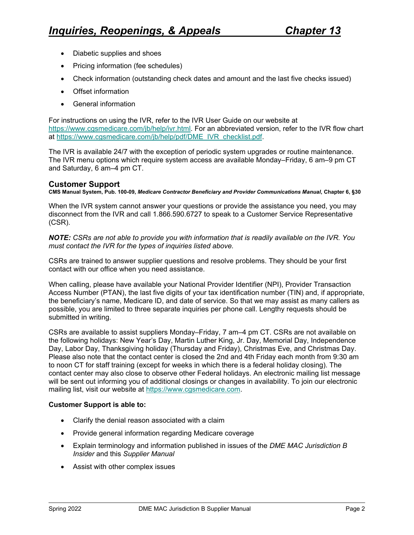- Diabetic supplies and shoes
- Pricing information (fee schedules)
- Check information (outstanding check dates and amount and the last five checks issued)
- Offset information
- General information

For instructions on using the IVR, refer to the IVR User Guide on our website at [https://www.cgsmedicare.com/jb/help/ivr.html.](https://www.cgsmedicare.com/jb/help/ivr.html) For an abbreviated version, refer to the IVR flow chart at [https://www.cgsmedicare.com/jb/help/pdf/DME\\_IVR\\_checklist.pdf.](https://www.cgsmedicare.com/jb/help/pdf/DME_IVR_checklist.pdf)

The IVR is available 24/7 with the exception of periodic system upgrades or routine maintenance. The IVR menu options which require system access are available Monday–Friday, 6 am–9 pm CT and Saturday, 6 am–4 pm CT.

### **Customer Support**

**CMS Manual System, Pub. 100-09,** *Medicare Contractor Beneficiary and Provider Communications Manual***, Chapter 6, §30**

When the IVR system cannot answer your questions or provide the assistance you need, you may disconnect from the IVR and call 1.866.590.6727 to speak to a Customer Service Representative (CSR).

*NOTE: CSRs are not able to provide you with information that is readily available on the IVR. You must contact the IVR for the types of inquiries listed above.* 

CSRs are trained to answer supplier questions and resolve problems. They should be your first contact with our office when you need assistance.

When calling, please have available your National Provider Identifier (NPI), Provider Transaction Access Number (PTAN), the last five digits of your tax identification number (TIN) and, if appropriate, the beneficiary's name, Medicare ID, and date of service. So that we may assist as many callers as possible, you are limited to three separate inquiries per phone call. Lengthy requests should be submitted in writing.

CSRs are available to assist suppliers Monday–Friday, 7 am–4 pm CT. CSRs are not available on the following holidays: New Year's Day, Martin Luther King, Jr. Day, Memorial Day, Independence Day, Labor Day, Thanksgiving holiday (Thursday and Friday), Christmas Eve, and Christmas Day. Please also note that the contact center is closed the 2nd and 4th Friday each month from 9:30 am to noon CT for staff training (except for weeks in which there is a federal holiday closing). The contact center may also close to observe other Federal holidays. An electronic mailing list message will be sent out informing you of additional closings or changes in availability. To join our electronic mailing list, visit our website at [https://www.cgsmedicare.com.](https://www.cgsmedicare.com/)

#### **Customer Support is able to:**

- Clarify the denial reason associated with a claim
- Provide general information regarding Medicare coverage
- Explain terminology and information published in issues of the *DME MAC Jurisdiction B Insider* and this *Supplier Manual*
- Assist with other complex issues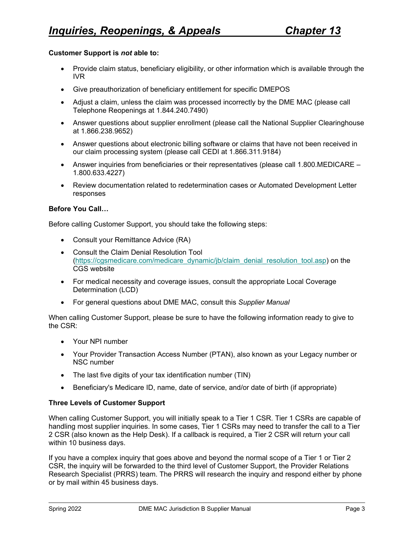#### **Customer Support is** *not* **able to:**

- Provide claim status, beneficiary eligibility, or other information which is available through the IVR
- Give preauthorization of beneficiary entitlement for specific DMEPOS
- Adjust a claim, unless the claim was processed incorrectly by the DME MAC (please call Telephone Reopenings at 1.844.240.7490)
- Answer questions about supplier enrollment (please call the National Supplier Clearinghouse at 1.866.238.9652)
- Answer questions about electronic billing software or claims that have not been received in our claim processing system (please call CEDI at 1.866.311.9184)
- Answer inquiries from beneficiaries or their representatives (please call 1.800.MEDICARE 1.800.633.4227)
- Review documentation related to redetermination cases or Automated Development Letter responses

#### **Before You Call…**

Before calling Customer Support, you should take the following steps:

- Consult your Remittance Advice (RA)
- Consult the Claim Denial Resolution Tool [\(https://cgsmedicare.com/medicare\\_dynamic/jb/claim\\_denial\\_resolution\\_tool.asp\)](https://cgsmedicare.com/medicare_dynamic/jb/claim_denial_resolution_tool.asp) on the CGS website
- For medical necessity and coverage issues, consult the appropriate Local Coverage Determination (LCD)
- For general questions about DME MAC, consult this *Supplier Manual*

When calling Customer Support, please be sure to have the following information ready to give to the CSR:

- Your NPI number
- Your Provider Transaction Access Number (PTAN), also known as your Legacy number or NSC number
- The last five digits of your tax identification number (TIN)
- Beneficiary's Medicare ID, name, date of service, and/or date of birth (if appropriate)

### **Three Levels of Customer Support**

When calling Customer Support, you will initially speak to a Tier 1 CSR. Tier 1 CSRs are capable of handling most supplier inquiries. In some cases, Tier 1 CSRs may need to transfer the call to a Tier 2 CSR (also known as the Help Desk). If a callback is required, a Tier 2 CSR will return your call within 10 business days.

If you have a complex inquiry that goes above and beyond the normal scope of a Tier 1 or Tier 2 CSR, the inquiry will be forwarded to the third level of Customer Support, the Provider Relations Research Specialist (PRRS) team. The PRRS will research the inquiry and respond either by phone or by mail within 45 business days.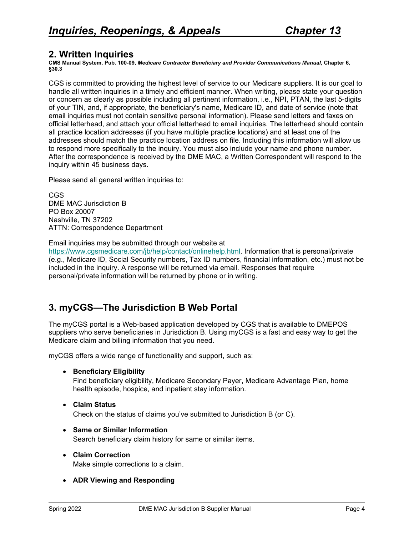## <span id="page-3-0"></span>**2. Written Inquiries**

**CMS Manual System, Pub. 100-09,** *Medicare Contractor Beneficiary and Provider Communications Manual***, Chapter 6, §30.3**

CGS is committed to providing the highest level of service to our Medicare suppliers. It is our goal to handle all written inquiries in a timely and efficient manner. When writing, please state your question or concern as clearly as possible including all pertinent information, i.e., NPI, PTAN, the last 5-digits of your TIN, and, if appropriate, the beneficiary's name, Medicare ID, and date of service (note that email inquiries must not contain sensitive personal information). Please send letters and faxes on official letterhead, and attach your official letterhead to email inquiries. The letterhead should contain all practice location addresses (if you have multiple practice locations) and at least one of the addresses should match the practice location address on file. Including this information will allow us to respond more specifically to the inquiry. You must also include your name and phone number. After the correspondence is received by the DME MAC, a Written Correspondent will respond to the inquiry within 45 business days.

Please send all general written inquiries to:

CGS DME MAC Jurisdiction B PO Box 20007 Nashville, TN 37202 ATTN: Correspondence Department

Email inquiries may be submitted through our website at

[https://www.cgsmedicare.com/jb/help/contact/onlinehelp.html.](https://www.cgsmedicare.com/jb/help/contact/onlinehelp.html) Information that is personal/private (e.g., Medicare ID, Social Security numbers, Tax ID numbers, financial information, etc.) must not be included in the inquiry. A response will be returned via email. Responses that require personal/private information will be returned by phone or in writing.

# <span id="page-3-1"></span>**3. myCGS—The Jurisdiction B Web Portal**

The myCGS portal is a Web-based application developed by CGS that is available to DMEPOS suppliers who serve beneficiaries in Jurisdiction B. Using myCGS is a fast and easy way to get the Medicare claim and billing information that you need.

myCGS offers a wide range of functionality and support, such as:

• **Beneficiary Eligibility** 

Find beneficiary eligibility, Medicare Secondary Payer, Medicare Advantage Plan, home health episode, hospice, and inpatient stay information.

- **Claim Status** Check on the status of claims you've submitted to Jurisdiction B (or C).
- **Same or Similar Information** Search beneficiary claim history for same or similar items.
- **Claim Correction**

Make simple corrections to a claim.

• **ADR Viewing and Responding**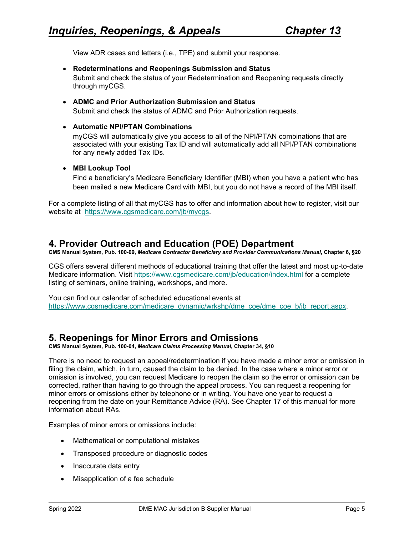View ADR cases and letters (i.e., TPE) and submit your response.

• **Redeterminations and Reopenings Submission and Status**

Submit and check the status of your Redetermination and Reopening requests directly through myCGS.

- **ADMC and Prior Authorization Submission and Status** Submit and check the status of ADMC and Prior Authorization requests.
- **Automatic NPI/PTAN Combinations**

myCGS will automatically give you access to all of the NPI/PTAN combinations that are associated with your existing Tax ID and will automatically add all NPI/PTAN combinations for any newly added Tax IDs.

#### • **MBI Lookup Tool**

Find a beneficiary's Medicare Beneficiary Identifier (MBI) when you have a patient who has been mailed a new Medicare Card with MBI, but you do not have a record of the MBI itself.

For a complete listing of all that myCGS has to offer and information about how to register, visit our website at [https://www.cgsmedicare.com/jb/mycgs.](https://www.cgsmedicare.com/jb/mycgs)

## <span id="page-4-0"></span>**4. Provider Outreach and Education (POE) Department**

**CMS Manual System, Pub. 100-09,** *Medicare Contractor Beneficiary and Provider Communications Manual***, Chapter 6, §20**

CGS offers several different methods of educational training that offer the latest and most up-to-date Medicare information. Visit <https://www.cgsmedicare.com/jb/education/index.html> for a complete listing of seminars, online training, workshops, and more.

You can find our calendar of scheduled educational events at https://www.cgsmedicare.com/medicare\_dynamic/wrkshp/dme\_coe/dme\_coe\_b/ib\_report.aspx.

# <span id="page-4-1"></span>**5. Reopenings for Minor Errors and Omissions**

**CMS Manual System, Pub. 100-04,** *Medicare Claims Processing Manual***, Chapter 34, §10**

There is no need to request an appeal/redetermination if you have made a minor error or omission in filing the claim, which, in turn, caused the claim to be denied. In the case where a minor error or omission is involved, you can request Medicare to reopen the claim so the error or omission can be corrected, rather than having to go through the appeal process. You can request a reopening for minor errors or omissions either by telephone or in writing. You have one year to request a reopening from the date on your Remittance Advice (RA). See Chapter 17 of this manual for more information about RAs.

Examples of minor errors or omissions include:

- Mathematical or computational mistakes
- Transposed procedure or diagnostic codes
- Inaccurate data entry
- Misapplication of a fee schedule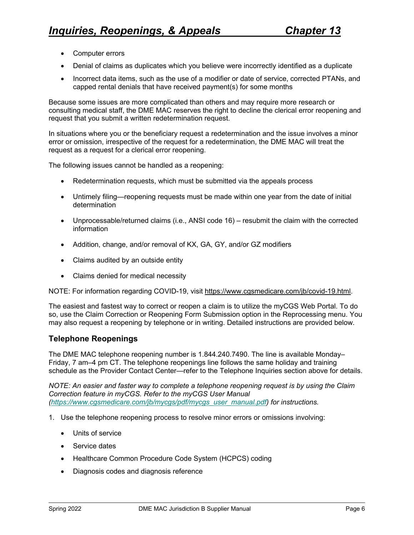- Computer errors
- Denial of claims as duplicates which you believe were incorrectly identified as a duplicate
- Incorrect data items, such as the use of a modifier or date of service, corrected PTANs, and capped rental denials that have received payment(s) for some months

Because some issues are more complicated than others and may require more research or consulting medical staff, the DME MAC reserves the right to decline the clerical error reopening and request that you submit a written redetermination request.

In situations where you or the beneficiary request a redetermination and the issue involves a minor error or omission, irrespective of the request for a redetermination, the DME MAC will treat the request as a request for a clerical error reopening.

The following issues cannot be handled as a reopening:

- [Redetermination requests,](http://www.cignagovernmentservices.com/jc/claims/appeals.html) which must be submitted via the appeals process
- Untimely filing—reopening requests must be made within one year from the date of initial determination
- Unprocessable/returned claims (i.e., ANSI code 16) resubmit the claim with the corrected information
- Addition, change, and/or removal of KX, GA, GY, and/or GZ modifiers
- Claims audited by an outside entity
- Claims denied for medical necessity

NOTE: For information regarding COVID-19, visit [https://www.cgsmedicare.com/jb/covid-19.html.](https://www.cgsmedicare.com/jb/covid-19.html)

The easiest and fastest way to correct or reopen a claim is to utilize the myCGS Web Portal. To do so, use the Claim Correction or Reopening Form Submission option in the Reprocessing menu. You may also request a reopening by telephone or in writing. Detailed instructions are provided below.

### **Telephone Reopenings**

The DME MAC telephone reopening number is 1.844.240.7490. The line is available Monday– Friday, 7 am–4 pm CT. The telephone reopenings line follows the same holiday and training schedule as the Provider Contact Center—refer to the Telephone Inquiries section above for details.

*NOTE: An easier and faster way to complete a telephone reopening request is by using the Claim Correction feature in myCGS. Refer to the myCGS User Manual [\(https://www.cgsmedicare.com/jb/mycgs/pdf/mycgs\\_user\\_manual.pdf\)](https://www.cgsmedicare.com/jb/mycgs/pdf/mycgs_user_manual.pdf) for instructions.*

- 1. Use the telephone reopening process to resolve minor errors or omissions involving:
	- Units of service
	- Service dates
	- Healthcare Common Procedure Code System (HCPCS) coding
	- Diagnosis codes and diagnosis reference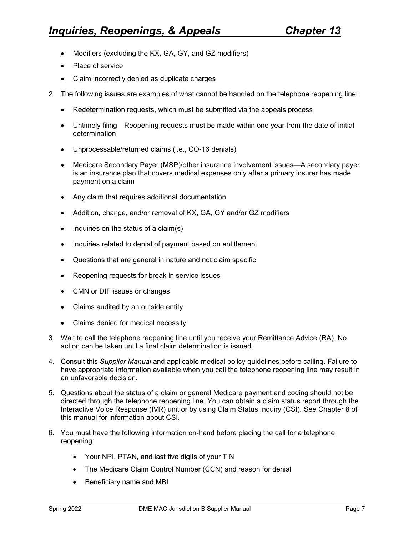- Modifiers (excluding the KX, GA, GY, and GZ modifiers)
- Place of service
- Claim incorrectly denied as duplicate charges
- 2. The following issues are examples of what cannot be handled on the telephone reopening line:
	- Redetermination requests, which must be submitted via the appeals process
	- Untimely filing—Reopening requests must be made within one year from the date of initial determination
	- Unprocessable/returned claims (i.e., CO-16 denials)
	- Medicare Secondary Payer (MSP)/other insurance involvement issues—A secondary payer is an insurance plan that covers medical expenses only after a primary insurer has made payment on a claim
	- Any claim that requires additional documentation
	- Addition, change, and/or removal of KX, GA, GY and/or GZ modifiers
	- Inquiries on the status of a claim(s)
	- Inquiries related to denial of payment based on entitlement
	- Questions that are general in nature and not claim specific
	- Reopening requests for break in service issues
	- CMN or DIF issues or changes
	- Claims audited by an outside entity
	- Claims denied for medical necessity
- 3. Wait to call the telephone reopening line until you receive your Remittance Advice (RA). No action can be taken until a final claim determination is issued.
- 4. Consult this *Supplier Manual* and applicable medical policy guidelines before calling. Failure to have appropriate information available when you call the telephone reopening line may result in an unfavorable decision.
- 5. Questions about the status of a claim or general Medicare payment and coding should not be directed through the telephone reopening line. You can obtain a claim status report through the Interactive Voice Response (IVR) unit or by using Claim Status Inquiry (CSI). See Chapter 8 of this manual for information about CSI.
- 6. You must have the following information on-hand before placing the call for a telephone reopening:
	- Your NPI, PTAN, and last five digits of your TIN
	- The Medicare Claim Control Number (CCN) and reason for denial
	- Beneficiary name and MBI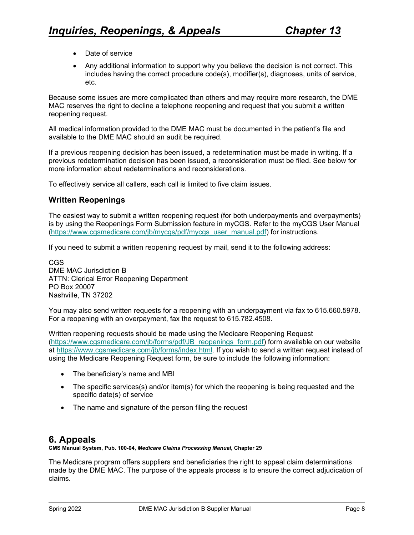- Date of service
- Any additional information to support why you believe the decision is not correct. This includes having the correct procedure code(s), modifier(s), diagnoses, units of service, etc.

Because some issues are more complicated than others and may require more research, the DME MAC reserves the right to decline a telephone reopening and request that you submit a written reopening request.

All medical information provided to the DME MAC must be documented in the patient's file and available to the DME MAC should an audit be required.

If a previous reopening decision has been issued, a redetermination must be made in writing. If a previous redetermination decision has been issued, a reconsideration must be filed. See below for more information about redeterminations and reconsiderations.

To effectively service all callers, each call is limited to five claim issues.

## **Written Reopenings**

The easiest way to submit a written reopening request (for both underpayments and overpayments) is by using the Reopenings Form Submission feature in myCGS. Refer to the myCGS User Manual [\(https://www.cgsmedicare.com/jb/mycgs/pdf/mycgs\\_user\\_manual.pdf\)](https://www.cgsmedicare.com/jb/mycgs/pdf/mycgs_user_manual.pdf) for instructions.

If you need to submit a written reopening request by mail, send it to the following address:

CGS DME MAC Jurisdiction B ATTN: Clerical Error Reopening Department PO Box 20007 Nashville, TN 37202

You may also send written requests for a reopening with an underpayment via fax to 615.660.5978. For a reopening with an overpayment, fax the request to 615.782.4508.

Written reopening requests should be made using [the Medicare Reopening Request](http://www.cgsmedicare.com/jc/forms/pdf/JC_reopenings_form.pdf) [\(https://www.cgsmedicare.com/jb/forms/pdf/JB\\_reopenings\\_form.pdf\)](https://www.cgsmedicare.com/jb/forms/pdf/JB_reopenings_form.pdf) form available on our website at [https://www.cgsmedicare.com/jb/forms/index.html.](https://www.cgsmedicare.com/jb/forms/index.html) If you wish to send a written request instead of using the Medicare Reopening Request form, be sure to include the following information:

- The beneficiary's name and MBI
- The specific services(s) and/or item(s) for which the reopening is being requested and the specific date(s) of service
- The name and signature of the person filing the request

# <span id="page-7-0"></span>**6. Appeals**

**CMS Manual System, Pub. 100-04,** *Medicare Claims Processing Manual***, Chapter 29**

The Medicare program offers suppliers and beneficiaries the right to appeal claim determinations made by the DME MAC. The purpose of the appeals process is to ensure the correct adjudication of claims.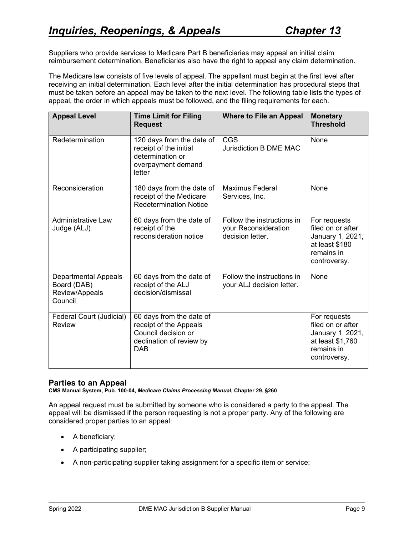Suppliers who provide services to Medicare Part B beneficiaries may appeal an initial claim reimbursement determination. Beneficiaries also have the right to appeal any claim determination.

The Medicare law consists of five levels of appeal. The appellant must begin at the first level after receiving an initial determination. Each level after the initial determination has procedural steps that must be taken before an appeal may be taken to the next level. The following table lists the types of appeal, the order in which appeals must be followed, and the filing requirements for each.

| <b>Appeal Level</b>                                                     | <b>Time Limit for Filing</b><br><b>Request</b>                                                                      | <b>Where to File an Appeal</b>                                         | <b>Monetary</b><br><b>Threshold</b>                                                                     |
|-------------------------------------------------------------------------|---------------------------------------------------------------------------------------------------------------------|------------------------------------------------------------------------|---------------------------------------------------------------------------------------------------------|
| Redetermination                                                         | 120 days from the date of<br>receipt of the initial<br>determination or<br>overpayment demand<br>letter             | CGS<br><b>Jurisdiction B DME MAC</b>                                   | None                                                                                                    |
| Reconsideration                                                         | 180 days from the date of<br>receipt of the Medicare<br><b>Redetermination Notice</b>                               | <b>Maximus Federal</b><br>Services, Inc.                               | None                                                                                                    |
| <b>Administrative Law</b><br>Judge (ALJ)                                | 60 days from the date of<br>receipt of the<br>reconsideration notice                                                | Follow the instructions in<br>your Reconsideration<br>decision letter. | For requests<br>filed on or after<br>January 1, 2021,<br>at least \$180<br>remains in<br>controversy.   |
| <b>Departmental Appeals</b><br>Board (DAB)<br>Review/Appeals<br>Council | 60 days from the date of<br>receipt of the ALJ<br>decision/dismissal                                                | Follow the instructions in<br>your ALJ decision letter.                | None                                                                                                    |
| Federal Court (Judicial)<br>Review                                      | 60 days from the date of<br>receipt of the Appeals<br>Council decision or<br>declination of review by<br><b>DAB</b> |                                                                        | For requests<br>filed on or after<br>January 1, 2021,<br>at least \$1,760<br>remains in<br>controversy. |

### **Parties to an Appeal**

**CMS Manual System, Pub. 100-04,** *Medicare Claims Processing Manual***, Chapter 29, §260**

An appeal request must be submitted by someone who is considered a party to the appeal. The appeal will be dismissed if the person requesting is not a proper party. Any of the following are considered proper parties to an appeal:

- A beneficiary;
- A participating supplier;
- A non-participating supplier taking assignment for a specific item or service;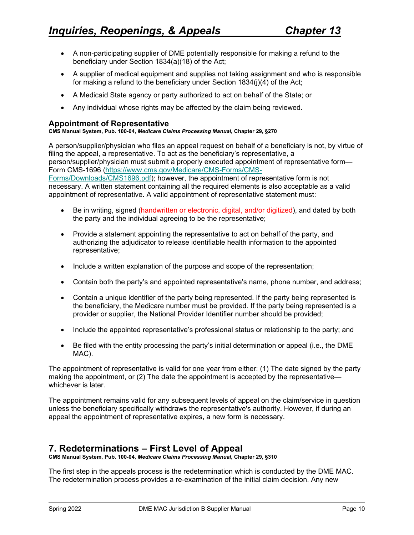- A non-participating supplier of DME potentially responsible for making a refund to the beneficiary under Section 1834(a)(18) of the Act;
- A supplier of medical equipment and supplies not taking assignment and who is responsible for making a refund to the beneficiary under Section 1834(j)(4) of the Act;
- A Medicaid State agency or party authorized to act on behalf of the State; or
- Any individual whose rights may be affected by the claim being reviewed.

#### **Appointment of Representative**

#### **CMS Manual System, Pub. 100-04,** *Medicare Claims Processing Manual***, Chapter 29, §270**

A person/supplier/physician who files an appeal request on behalf of a beneficiary is not, by virtue of filing the appeal, a representative. To act as the beneficiary's representative, a person/supplier/physician must submit a properly executed appointment of representative form— Form CMS-1696 [\(https://www.cms.gov/Medicare/CMS-Forms/CMS-](https://www.cms.gov/Medicare/CMS-Forms/CMS-Forms/Downloads/CMS1696.pdf)[Forms/Downloads/CMS1696.pdf\)](https://www.cms.gov/Medicare/CMS-Forms/CMS-Forms/Downloads/CMS1696.pdf); however, the appointment of representative form is not necessary. A written statement containing all the required elements is also acceptable as a valid appointment of representative. A valid appointment of representative statement must:

- Be in writing, signed (handwritten or electronic, digital, and/or digitized), and dated by both the party and the individual agreeing to be the representative;
- Provide a statement appointing the representative to act on behalf of the party, and authorizing the adjudicator to release identifiable health information to the appointed representative;
- Include a written explanation of the purpose and scope of the representation;
- Contain both the party's and appointed representative's name, phone number, and address;
- Contain a unique identifier of the party being represented. If the party being represented is the beneficiary, the Medicare number must be provided. If the party being represented is a provider or supplier, the National Provider Identifier number should be provided;
- Include the appointed representative's professional status or relationship to the party; and
- Be filed with the entity processing the party's initial determination or appeal (i.e., the DME MAC).

The appointment of representative is valid for one year from either: (1) The date signed by the party making the appointment, or (2) The date the appointment is accepted by the representative whichever is later.

The appointment remains valid for any subsequent levels of appeal on the claim/service in question unless the beneficiary specifically withdraws the representative's authority. However, if during an appeal the appointment of representative expires, a new form is necessary.

# <span id="page-9-0"></span>**7. Redeterminations – First Level of Appeal**

**CMS Manual System, Pub. 100-04,** *Medicare Claims Processing Manual***, Chapter 29, §310**

The first step in the appeals process is the redetermination which is conducted by the DME MAC. The redetermination process provides a re-examination of the initial claim decision. Any new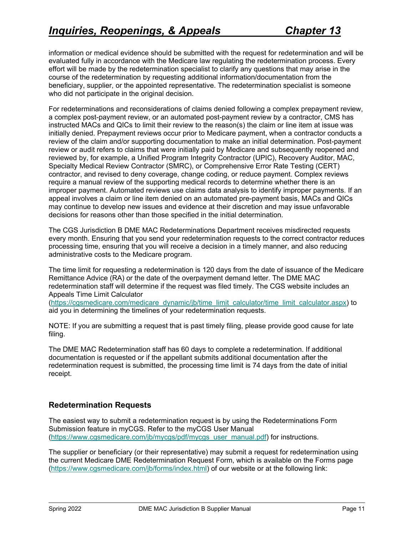information or medical evidence should be submitted with the request for redetermination and will be evaluated fully in accordance with the Medicare law regulating the redetermination process. Every effort will be made by the redetermination specialist to clarify any questions that may arise in the course of the redetermination by requesting additional information/documentation from the beneficiary, supplier, or the appointed representative. The redetermination specialist is someone who did not participate in the original decision.

For redeterminations and reconsiderations of claims denied following a complex prepayment review, a complex post-payment review, or an automated post-payment review by a contractor, CMS has instructed MACs and QICs to limit their review to the reason(s) the claim or line item at issue was initially denied. Prepayment reviews occur prior to Medicare payment, when a contractor conducts a review of the claim and/or supporting documentation to make an initial determination. Post-payment review or audit refers to claims that were initially paid by Medicare and subsequently reopened and reviewed by, for example, a Unified Program Integrity Contractor (UPIC), Recovery Auditor, MAC, Specialty Medical Review Contractor (SMRC), or Comprehensive Error Rate Testing (CERT) contractor, and revised to deny coverage, change coding, or reduce payment. Complex reviews require a manual review of the supporting medical records to determine whether there is an improper payment. Automated reviews use claims data analysis to identify improper payments. If an appeal involves a claim or line item denied on an automated pre-payment basis, MACs and QICs may continue to develop new issues and evidence at their discretion and may issue unfavorable decisions for reasons other than those specified in the initial determination.

The CGS Jurisdiction B DME MAC Redeterminations Department receives misdirected requests every month. Ensuring that you send your redetermination requests to the correct contractor reduces processing time, ensuring that you will receive a decision in a timely manner, and also reducing administrative costs to the Medicare program.

The time limit for requesting a redetermination is 120 days from the date of issuance of the Medicare Remittance Advice (RA) or the date of the overpayment demand letter. The DME MAC redetermination staff will determine if the request was filed timely. The CGS website includes an Appeals Time Limit Calculator

[\(https://cgsmedicare.com/medicare\\_dynamic/jb/time\\_limit\\_calculator/time\\_limit\\_calculator.aspx\)](https://cgsmedicare.com/medicare_dynamic/jb/time_limit_calculator/time_limit_calculator.aspx) to aid you in determining the timelines of your redetermination requests.

NOTE: If you are submitting a request that is past timely filing, please provide good cause for late filing.

The DME MAC Redetermination staff has 60 days to complete a redetermination. If additional documentation is requested or if the appellant submits additional documentation after the redetermination request is submitted, the processing time limit is 74 days from the date of initial receipt.

## **Redetermination Requests**

The easiest way to submit a redetermination request is by using the Redeterminations Form Submission feature in myCGS. Refer to the myCGS User Manual [\(https://www.cgsmedicare.com/jb/mycgs/pdf/mycgs\\_user\\_manual.pdf\)](https://www.cgsmedicare.com/jb/mycgs/pdf/mycgs_user_manual.pdf) for instructions.

The supplier or beneficiary (or their representative) may submit a request for redetermination using the current Medicare DME Redetermination Request Form, which is available on the Forms page [\(https://www.cgsmedicare.com/jb/forms/index.html\)](https://www.cgsmedicare.com/jb/forms/index.html) of our website or at the following link: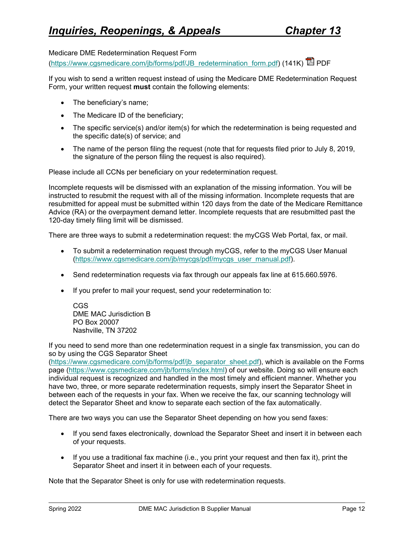Medicare DME Redetermination Request Form

[\(https://www.cgsmedicare.com/jb/forms/pdf/JB\\_redetermination\\_form.pdf\)](https://www.cgsmedicare.com/jb/forms/pdf/JB_redetermination_form.pdf) (141K)  $\overline{\mathbb{Z}}$  PDF

If you wish to send a written request instead of using the Medicare DME Redetermination Request Form, your written request **must** contain the following elements:

- The beneficiary's name;
- The Medicare ID of the beneficiary;
- The specific service(s) and/or item(s) for which the redetermination is being requested and the specific date(s) of service; and
- The name of the person filing the request (note that for requests filed prior to July 8, 2019, the signature of the person filing the request is also required).

Please include all CCNs per beneficiary on your redetermination request.

Incomplete requests will be dismissed with an explanation of the missing information. You will be instructed to resubmit the request with all of the missing information. Incomplete requests that are resubmitted for appeal must be submitted within 120 days from the date of the Medicare Remittance Advice (RA) or the overpayment demand letter. Incomplete requests that are resubmitted past the 120-day timely filing limit will be dismissed.

There are three ways to submit a redetermination request: the myCGS Web Portal, fax, or mail.

- To submit a redetermination request through myCGS, refer to the myCGS User Manual [\(https://www.cgsmedicare.com/jb/mycgs/pdf/mycgs\\_user\\_manual.pdf\)](https://www.cgsmedicare.com/jb/mycgs/pdf/mycgs_user_manual.pdf).
- Send redetermination requests via fax through our appeals fax line at 615.660.5976.
- If you prefer to mail your request, send your redetermination to:

CGS DME MAC Jurisdiction B PO Box 20007 Nashville, TN 37202

If you need to send more than one redetermination request in a single fax transmission, you can do so by using the CGS Separator Sheet

[\(https://www.cgsmedicare.com/jb/forms/pdf/jb\\_separator\\_sheet.pdf\)](https://www.cgsmedicare.com/jb/forms/pdf/jb_separator_sheet.pdf), which is available on the Forms page [\(https://www.cgsmedicare.com/jb/forms/index.html\)](https://www.cgsmedicare.com/jb/forms/index.html) of our website. Doing so will ensure each individual request is recognized and handled in the most timely and efficient manner. Whether you have two, three, or more separate redetermination requests, simply insert the Separator Sheet in between each of the requests in your fax. When we receive the fax, our scanning technology will detect the Separator Sheet and know to separate each section of the fax automatically.

There are two ways you can use the Separator Sheet depending on how you send faxes:

- If you send faxes electronically, download the Separator Sheet and insert it in between each of your requests.
- $\bullet$  If you use a traditional fax machine (i.e., you print your request and then fax it), print the Separator Sheet and insert it in between each of your requests.

Note that the Separator Sheet is only for use with redetermination requests.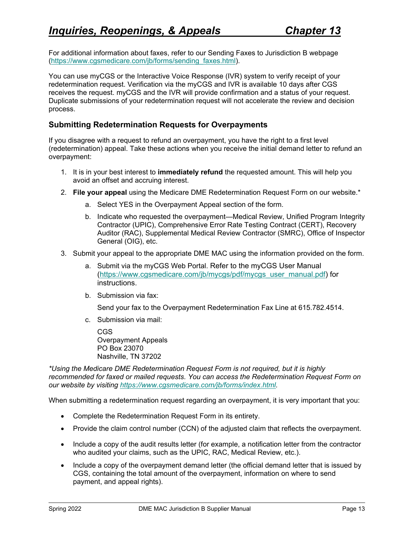For additional information about faxes, refer to our [Sending Faxes to Jurisdiction B](http://www.cgsmedicare.com/jc/forms/sending_faxes.html) webpage [\(https://www.cgsmedicare.com/jb/forms/sending\\_faxes.html\)](https://www.cgsmedicare.com/jb/forms/sending_faxes.html).

You can use myCGS or the Interactive Voice Response (IVR) system to verify receipt of your redetermination request. Verification via the myCGS and IVR is available 10 days after CGS receives the request. myCGS and the IVR will provide confirmation and a status of your request. Duplicate submissions of your redetermination request will not accelerate the review and decision process.

### **Submitting Redetermination Requests for Overpayments**

If you disagree with a request to refund an overpayment, you have the right to a first level (redetermination) appeal. Take these actions when you receive the initial demand letter to refund an overpayment:

- 1. It is in your best interest to **immediately refund** the requested amount. This will help you avoid an offset and accruing interest.
- 2. **File your appeal** using the Medicare DME Redetermination Request Form on our website.\*
	- a. Select YES in the Overpayment Appeal section of the form.
	- b. Indicate who requested the overpayment—Medical Review, Unified Program Integrity Contractor (UPIC), Comprehensive Error Rate Testing Contract (CERT), Recovery Auditor (RAC), Supplemental Medical Review Contractor (SMRC), Office of Inspector General (OIG), etc.
- 3. Submit your appeal to the appropriate DME MAC using the information provided on the form.
	- a. Submit via the myCGS Web Portal. Refer to the myCGS User Manual [\(https://www.cgsmedicare.com/jb/mycgs/pdf/mycgs\\_user\\_manual.pdf\)](https://www.cgsmedicare.com/jb/mycgs/pdf/mycgs_user_manual.pdf) for instructions.
	- b. Submission via fax:

Send your fax to the Overpayment Redetermination Fax Line at 615.782.4514.

c. Submission via mail:

CGS Overpayment Appeals PO Box 23070 Nashville, TN 37202

*\*Using the Medicare DME Redetermination Request Form is not required, but it is highly recommended for faxed or mailed requests. You can access the Redetermination Request Form on our website by visiting [https://www.cgsmedicare.com/jb/forms/index.html.](https://www.cgsmedicare.com/jb/forms/index.html)* 

When submitting a redetermination request regarding an overpayment, it is very important that you:

- Complete the Redetermination Request Form in its entirety.
- Provide the claim control number (CCN) of the adjusted claim that reflects the overpayment.
- Include a copy of the audit results letter (for example, a notification letter from the contractor who audited your claims, such as the UPIC, RAC, Medical Review, etc.).
- Include a copy of the overpayment demand letter (the official demand letter that is issued by CGS, containing the total amount of the overpayment, information on where to send payment, and appeal rights).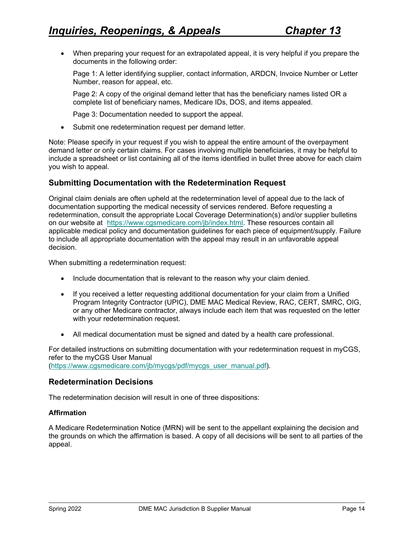• When preparing your request for an extrapolated appeal, it is very helpful if you prepare the documents in the following order:

Page 1: A letter identifying supplier, contact information, ARDCN, Invoice Number or Letter Number, reason for appeal, etc.

Page 2: A copy of the original demand letter that has the beneficiary names listed OR a complete list of beneficiary names, Medicare IDs, DOS, and items appealed.

Page 3: Documentation needed to support the appeal.

• Submit one redetermination request per demand letter.

Note: Please specify in your request if you wish to appeal the entire amount of the overpayment demand letter or only certain claims. For cases involving multiple beneficiaries, it may be helpful to include a spreadsheet or list containing all of the items identified in bullet three above for each claim you wish to appeal.

### **Submitting Documentation with the Redetermination Request**

Original claim denials are often upheld at the redetermination level of appeal due to the lack of documentation supporting the medical necessity of services rendered. Before requesting a redetermination, consult the appropriate Local Coverage Determination(s) and/or supplier bulletins on our website at [https://www.cgsmedicare.com/jb/index.html.](https://www.cgsmedicare.com/jb/index.html) These resources contain all applicable medical policy and documentation guidelines for each piece of equipment/supply. Failure to include all appropriate documentation with the appeal may result in an unfavorable appeal decision.

When submitting a redetermination request:

- Include documentation that is relevant to the reason why your claim denied.
- If you received a letter requesting additional documentation for your claim from a Unified Program Integrity Contractor (UPIC), DME MAC Medical Review, RAC, CERT, SMRC, OIG, or any other Medicare contractor, always include each item that was requested on the letter with your redetermination request.
- All medical documentation must be signed and dated by a health care professional.

For detailed instructions on submitting documentation with your redetermination request in myCGS, refer to the myCGS User Manual [\(https://www.cgsmedicare.com/jb/mycgs/pdf/mycgs\\_user\\_manual.pdf\)](https://www.cgsmedicare.com/jb/mycgs/pdf/mycgs_user_manual.pdf).

#### **Redetermination Decisions**

The redetermination decision will result in one of three dispositions:

#### **Affirmation**

A Medicare Redetermination Notice (MRN) will be sent to the appellant explaining the decision and the grounds on which the affirmation is based. A copy of all decisions will be sent to all parties of the appeal.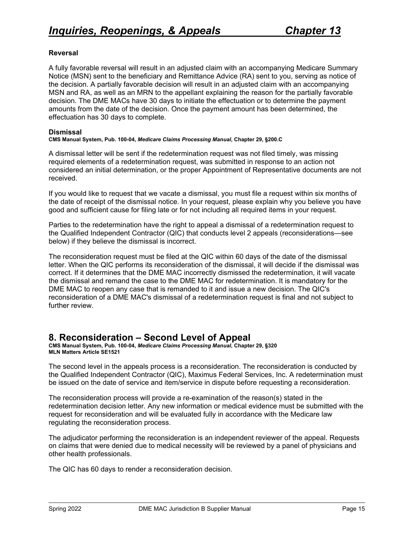#### **Reversal**

A fully favorable reversal will result in an adjusted claim with an accompanying Medicare Summary Notice (MSN) sent to the beneficiary and Remittance Advice (RA) sent to you, serving as notice of the decision. A partially favorable decision will result in an adjusted claim with an accompanying MSN and RA, as well as an MRN to the appellant explaining the reason for the partially favorable decision. The DME MACs have 30 days to initiate the effectuation or to determine the payment amounts from the date of the decision. Once the payment amount has been determined, the effectuation has 30 days to complete.

#### **Dismissal**

**CMS Manual System, Pub. 100-04,** *Medicare Claims Processing Manual***, Chapter 29, §200.C**

A dismissal letter will be sent if the redetermination request was not filed timely, was missing required elements of a redetermination request, was submitted in response to an action not considered an initial determination, or the proper Appointment of Representative documents are not received.

If you would like to request that we vacate a dismissal, you must file a request within six months of the date of receipt of the dismissal notice. In your request, please explain why you believe you have good and sufficient cause for filing late or for not including all required items in your request.

Parties to the redetermination have the right to appeal a dismissal of a redetermination request to the Qualified Independent Contractor (QIC) that conducts level 2 appeals (reconsiderations—see below) if they believe the dismissal is incorrect.

The reconsideration request must be filed at the QIC within 60 days of the date of the dismissal letter. When the QIC performs its reconsideration of the dismissal, it will decide if the dismissal was correct. If it determines that the DME MAC incorrectly dismissed the redetermination, it will vacate the dismissal and remand the case to the DME MAC for redetermination. It is mandatory for the DME MAC to reopen any case that is remanded to it and issue a new decision. The QIC's reconsideration of a DME MAC's dismissal of a redetermination request is final and not subject to further review.

## <span id="page-14-0"></span>**8. Reconsideration – Second Level of Appeal**

**CMS Manual System, Pub. 100-04,** *Medicare Claims Processing Manual***, Chapter 29, §320 MLN Matters Article SE1521**

The second level in the appeals process is a reconsideration. The reconsideration is conducted by the Qualified Independent Contractor (QIC), Maximus Federal Services, Inc. A redetermination must be issued on the date of service and item/service in dispute before requesting a reconsideration.

The reconsideration process will provide a re-examination of the reason(s) stated in the redetermination decision letter. Any new information or medical evidence must be submitted with the request for reconsideration and will be evaluated fully in accordance with the Medicare law regulating the reconsideration process.

The adjudicator performing the reconsideration is an independent reviewer of the appeal. Requests on claims that were denied due to medical necessity will be reviewed by a panel of physicians and other health professionals.

The QIC has 60 days to render a reconsideration decision.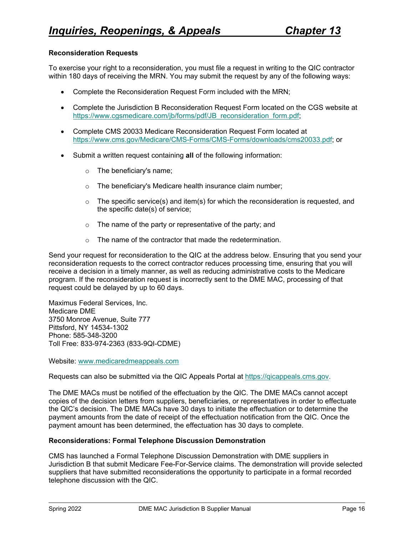#### **Reconsideration Requests**

To exercise your right to a reconsideration, you must file a request in writing to the QIC contractor within 180 days of receiving the MRN. You may submit the request by any of the following ways:

- Complete the Reconsideration Request Form included with the MRN;
- Complete the Jurisdiction B Reconsideration Request Form located on the CGS website at [https://www.cgsmedicare.com/jb/forms/pdf/JB\\_reconsideration\\_form.pdf;](https://www.cgsmedicare.com/jb/forms/pdf/JB_reconsideration_form.pdf)
- Complete CMS 20033 Medicare Reconsideration Request Form located at [https://www.cms.gov/Medicare/CMS-Forms/CMS-Forms/downloads/cms20033.pdf;](https://www.cms.gov/Medicare/CMS-Forms/CMS-Forms/downloads/cms20033.pdf) or
- Submit a written request containing **all** of the following information:
	- o The beneficiary's name;
	- o The beneficiary's Medicare health insurance claim number;
	- $\circ$  The specific service(s) and item(s) for which the reconsideration is requested, and the specific date(s) of service;
	- o The name of the party or representative of the party; and
	- $\circ$  The name of the contractor that made the redetermination.

Send your request for reconsideration to the QIC at the address below. Ensuring that you send your reconsideration requests to the correct contractor reduces processing time, ensuring that you will receive a decision in a timely manner, as well as reducing administrative costs to the Medicare program. If the reconsideration request is incorrectly sent to the DME MAC, processing of that request could be delayed by up to 60 days.

Maximus Federal Services, Inc. Medicare DME 3750 Monroe Avenue, Suite 777 Pittsford, NY 14534-1302 Phone: 585-348-3200 Toll Free: 833-974-2363 (833-9QI-CDME)

Website: [www.medicaredmeappeals.com](https://www.medicaredmeappeals.com/)

Requests can also be submitted via the QIC Appeals Portal at [https://qicappeals.cms.gov.](https://qicappeals.cms.gov/)

The DME MACs must be notified of the effectuation by the QIC. The DME MACs cannot accept copies of the decision letters from suppliers, beneficiaries, or representatives in order to effectuate the QIC's decision. The DME MACs have 30 days to initiate the effectuation or to determine the payment amounts from the date of receipt of the effectuation notification from the QIC. Once the payment amount has been determined, the effectuation has 30 days to complete.

#### **Reconsiderations: Formal Telephone Discussion Demonstration**

CMS has launched a Formal Telephone Discussion Demonstration with DME suppliers in Jurisdiction B that submit Medicare Fee-For-Service claims. The demonstration will provide selected suppliers that have submitted reconsiderations the opportunity to participate in a formal recorded telephone discussion with the QIC.